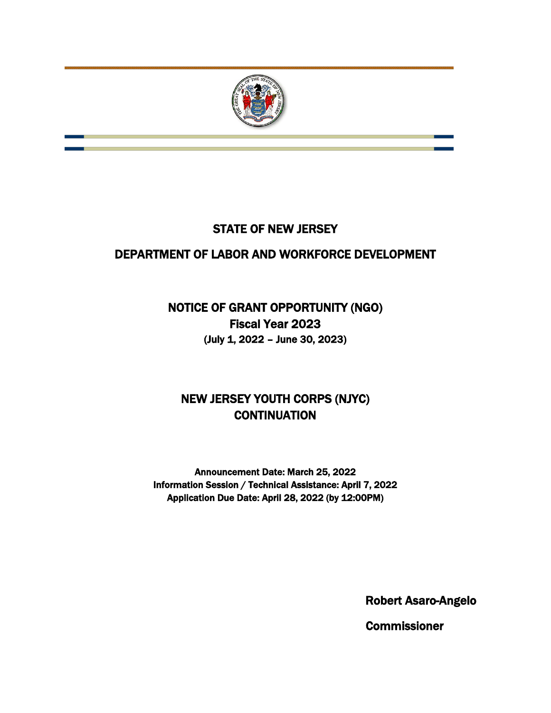

## STATE OF NEW JERSEY

## DEPARTMENT OF LABOR AND WORKFORCE DEVELOPMENT

NOTICE OF GRANT OPPORTUNITY (NGO) Fiscal Year 2023 (July 1, 2022 – June 30, 2023)

# NEW JERSEY YOUTH CORPS (NJYC) **CONTINUATION**

Announcement Date: March 25, 2022 Information Session / Technical Assistance: April 7, 2022 Application Due Date: April 28, 2022 (by 12:00PM)

Robert Asaro-Angelo

Commissioner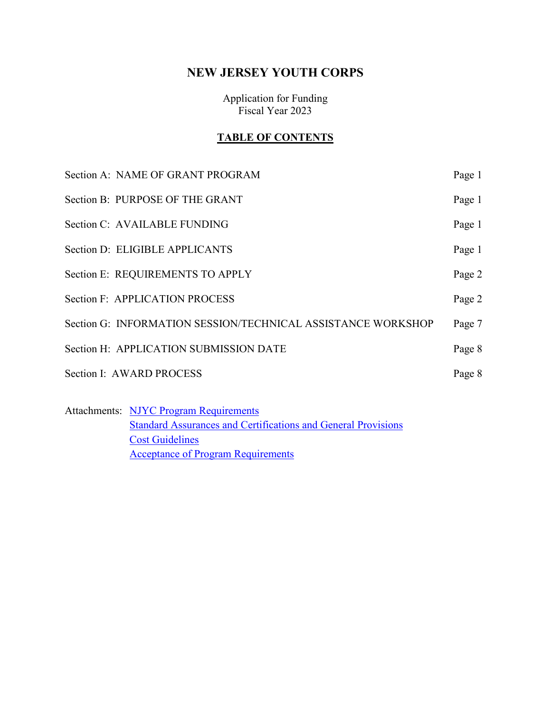## **NEW JERSEY YOUTH CORPS**

Application for Funding Fiscal Year 2023

#### **TABLE OF CONTENTS**

| Section A: NAME OF GRANT PROGRAM                             | Page 1 |
|--------------------------------------------------------------|--------|
| Section B: PURPOSE OF THE GRANT                              | Page 1 |
| Section C: AVAILABLE FUNDING                                 | Page 1 |
| Section D: ELIGIBLE APPLICANTS                               | Page 1 |
| Section E: REQUIREMENTS TO APPLY                             | Page 2 |
| Section F: APPLICATION PROCESS                               | Page 2 |
| Section G: INFORMATION SESSION/TECHNICAL ASSISTANCE WORKSHOP | Page 7 |
| Section H: APPLICATION SUBMISSION DATE                       | Page 8 |
| Section I: AWARD PROCESS                                     | Page 8 |
|                                                              |        |

Attachments: [NJYC Program Requirements](http://www.nj.gov/labor/wioa/documents/NGO/Workforce_Training/FY23_NJYC_Program_Requirements.docx) [Standard Assurances and Certifications and General Provisions](http://www.nj.gov/labor/forms_pdfs/Programs/NGO/FY21/StandardAssurancesandCertificationsandGeneralProvisions_NGO_revised.pdf) **[Cost Guidelines](http://www.nj.gov/labor/wioa/documents/NGO/Workforce_Training/FY23_NJYC_Eligible_Costs_Guideline.doc)** [Acceptance of Program Requirements](http://www.nj.gov/labor/wioa/documents/NGO/Workforce_Training/FY23_NJYC_AcceptanceofProgramRequirements.docx)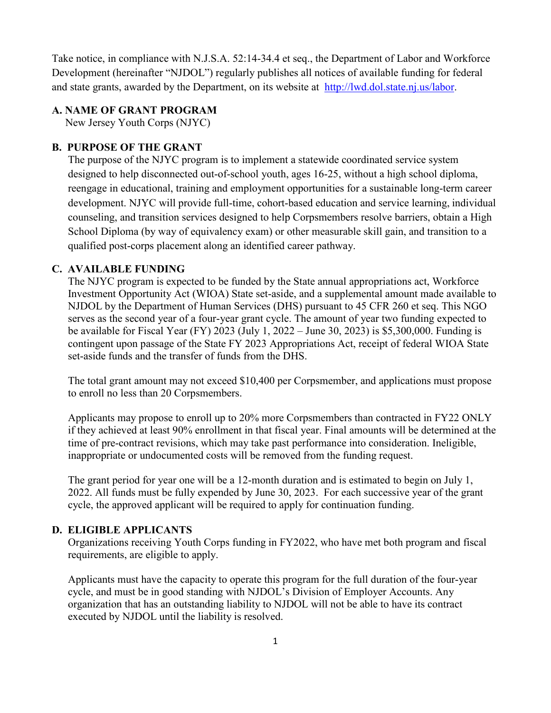Take notice, in compliance with N.J.S.A. 52:14-34.4 et seq., the Department of Labor and Workforce Development (hereinafter "NJDOL") regularly publishes all notices of available funding for federal and state grants, awarded by the Department, on its website at [http://lwd.dol.state.nj.us/labor.](http://lwd.dol.state.nj.us/labor)

#### **A. NAME OF GRANT PROGRAM**

New Jersey Youth Corps (NJYC)

#### **B. PURPOSE OF THE GRANT**

The purpose of the NJYC program is to implement a statewide coordinated service system designed to help disconnected out-of-school youth, ages 16-25, without a high school diploma, reengage in educational, training and employment opportunities for a sustainable long-term career development. NJYC will provide full-time, cohort-based education and service learning, individual counseling, and transition services designed to help Corpsmembers resolve barriers, obtain a High School Diploma (by way of equivalency exam) or other measurable skill gain, and transition to a qualified post-corps placement along an identified career pathway.

#### **C. AVAILABLE FUNDING**

The NJYC program is expected to be funded by the State annual appropriations act, Workforce Investment Opportunity Act (WIOA) State set-aside, and a supplemental amount made available to NJDOL by the Department of Human Services (DHS) pursuant to 45 CFR 260 et seq. This NGO serves as the second year of a four-year grant cycle. The amount of year two funding expected to be available for Fiscal Year (FY) 2023 (July 1, 2022 – June 30, 2023) is \$5,300,000. Funding is contingent upon passage of the State FY 2023 Appropriations Act, receipt of federal WIOA State set-aside funds and the transfer of funds from the DHS.

The total grant amount may not exceed \$10,400 per Corpsmember, and applications must propose to enroll no less than 20 Corpsmembers.

Applicants may propose to enroll up to 20% more Corpsmembers than contracted in FY22 ONLY if they achieved at least 90% enrollment in that fiscal year. Final amounts will be determined at the time of pre-contract revisions, which may take past performance into consideration. Ineligible, inappropriate or undocumented costs will be removed from the funding request.

The grant period for year one will be a 12-month duration and is estimated to begin on July 1, 2022. All funds must be fully expended by June 30, 2023. For each successive year of the grant cycle, the approved applicant will be required to apply for continuation funding.

#### **D. ELIGIBLE APPLICANTS**

Organizations receiving Youth Corps funding in FY2022, who have met both program and fiscal requirements, are eligible to apply.

Applicants must have the capacity to operate this program for the full duration of the four-year cycle, and must be in good standing with NJDOL's Division of Employer Accounts. Any organization that has an outstanding liability to NJDOL will not be able to have its contract executed by NJDOL until the liability is resolved.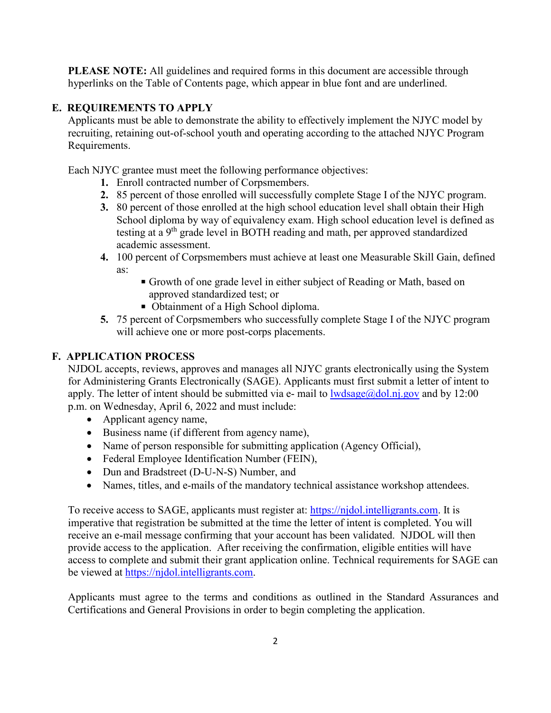**PLEASE NOTE:** All guidelines and required forms in this document are accessible through hyperlinks on the Table of Contents page, which appear in blue font and are underlined.

#### **E. REQUIREMENTS TO APPLY**

Applicants must be able to demonstrate the ability to effectively implement the NJYC model by recruiting, retaining out-of-school youth and operating according to the attached NJYC Program Requirements.

Each NJYC grantee must meet the following performance objectives:

- **1.** Enroll contracted number of Corpsmembers.
- **2.** 85 percent of those enrolled will successfully complete Stage I of the NJYC program.
- **3.** 80 percent of those enrolled at the high school education level shall obtain their High School diploma by way of equivalency exam. High school education level is defined as testing at a 9<sup>th</sup> grade level in BOTH reading and math, per approved standardized academic assessment.
- **4.** 100 percent of Corpsmembers must achieve at least one Measurable Skill Gain, defined as:
	- Growth of one grade level in either subject of Reading or Math, based on approved standardized test; or
	- Obtainment of a High School diploma.
- **5.** 75 percent of Corpsmembers who successfully complete Stage I of the NJYC program will achieve one or more post-corps placements.

#### **F. APPLICATION PROCESS**

NJDOL accepts, reviews, approves and manages all NJYC grants electronically using the System for Administering Grants Electronically (SAGE). Applicants must first submit a letter of intent to apply. The letter of intent should be submitted via e- mail to  $\frac{1}{\text{wdsage}(a)}$  dol.nj.gov and by 12:00 p.m. on Wednesday, April 6, 2022 and must include:

- Applicant agency name,
- Business name (if different from agency name),
- Name of person responsible for submitting application (Agency Official),
- Federal Employee Identification Number (FEIN),
- Dun and Bradstreet (D-U-N-S) Number, and
- Names, titles, and e-mails of the mandatory technical assistance workshop attendees.

To receive access to SAGE, applicants must register at: [https://njdol.intelligrants.com.](https://njdol.intelligrants.com/) It is imperative that registration be submitted at the time the letter of intent is completed. You will receive an e-mail message confirming that your account has been validated. NJDOL will then provide access to the application. After receiving the confirmation, eligible entities will have access to complete and submit their grant application online. Technical requirements for SAGE can be viewed at [https://njdol.intelligrants.com.](https://njdol.intelligrants.com/)

Applicants must agree to the terms and conditions as outlined in the Standard Assurances and Certifications and General Provisions in order to begin completing the application.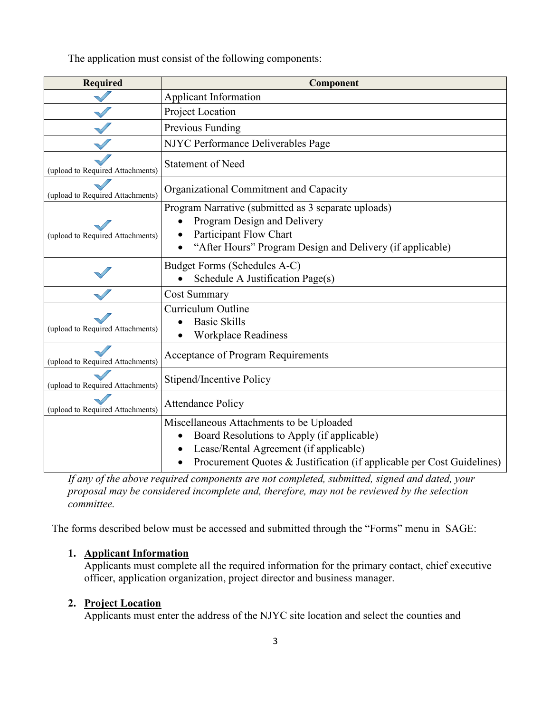The application must consist of the following components:

| <b>Required</b>                  | Component                                                                                                                                                                                                  |
|----------------------------------|------------------------------------------------------------------------------------------------------------------------------------------------------------------------------------------------------------|
|                                  | Applicant Information                                                                                                                                                                                      |
|                                  | Project Location                                                                                                                                                                                           |
|                                  | Previous Funding                                                                                                                                                                                           |
|                                  | NJYC Performance Deliverables Page                                                                                                                                                                         |
| (upload to Required Attachments) | <b>Statement of Need</b>                                                                                                                                                                                   |
| (upload to Required Attachments) | Organizational Commitment and Capacity                                                                                                                                                                     |
| (upload to Required Attachments) | Program Narrative (submitted as 3 separate uploads)<br>Program Design and Delivery<br>Participant Flow Chart<br>"After Hours" Program Design and Delivery (if applicable)                                  |
|                                  | Budget Forms (Schedules A-C)<br>Schedule A Justification Page(s)                                                                                                                                           |
|                                  | <b>Cost Summary</b>                                                                                                                                                                                        |
| (upload to Required Attachments) | Curriculum Outline<br><b>Basic Skills</b><br><b>Workplace Readiness</b>                                                                                                                                    |
| (upload to Required Attachments) | Acceptance of Program Requirements                                                                                                                                                                         |
| (upload to Required Attachments) | Stipend/Incentive Policy                                                                                                                                                                                   |
| (upload to Required Attachments) | <b>Attendance Policy</b>                                                                                                                                                                                   |
|                                  | Miscellaneous Attachments to be Uploaded<br>Board Resolutions to Apply (if applicable)<br>Lease/Rental Agreement (if applicable)<br>Procurement Quotes & Justification (if applicable per Cost Guidelines) |

*If any of the above required components are not completed, submitted, signed and dated, your proposal may be considered incomplete and, therefore, may not be reviewed by the selection committee.*

The forms described below must be accessed and submitted through the "Forms" menu in SAGE:

#### **1. Applicant Information**

Applicants must complete all the required information for the primary contact, chief executive officer, application organization, project director and business manager.

#### **2. Project Location**

Applicants must enter the address of the NJYC site location and select the counties and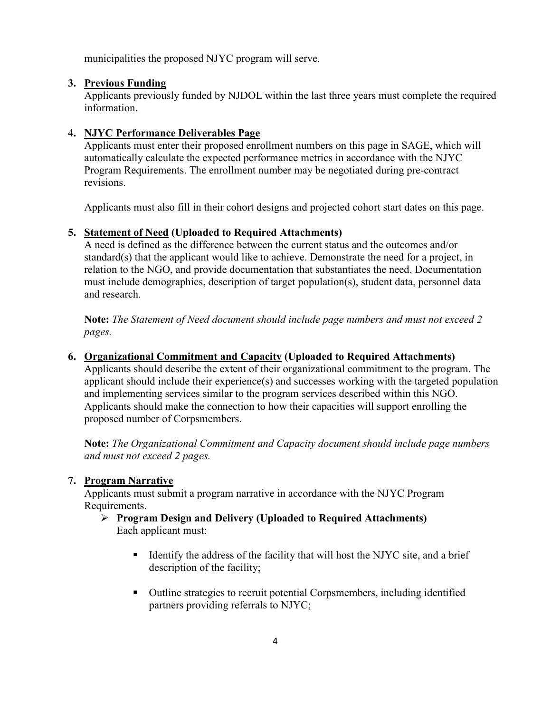municipalities the proposed NJYC program will serve.

#### **3. Previous Funding**

Applicants previously funded by NJDOL within the last three years must complete the required information.

## **4. NJYC Performance Deliverables Page**

Applicants must enter their proposed enrollment numbers on this page in SAGE, which will automatically calculate the expected performance metrics in accordance with the NJYC Program Requirements. The enrollment number may be negotiated during pre-contract revisions.

Applicants must also fill in their cohort designs and projected cohort start dates on this page.

## **5. Statement of Need (Uploaded to Required Attachments)**

A need is defined as the difference between the current status and the outcomes and/or standard(s) that the applicant would like to achieve. Demonstrate the need for a project, in relation to the NGO, and provide documentation that substantiates the need. Documentation must include demographics, description of target population(s), student data, personnel data and research.

**Note:** *The Statement of Need document should include page numbers and must not exceed 2 pages.*

## **6. Organizational Commitment and Capacity (Uploaded to Required Attachments)**

Applicants should describe the extent of their organizational commitment to the program. The applicant should include their experience(s) and successes working with the targeted population and implementing services similar to the program services described within this NGO. Applicants should make the connection to how their capacities will support enrolling the proposed number of Corpsmembers.

**Note:** *The Organizational Commitment and Capacity document should include page numbers and must not exceed 2 pages.* 

## **7. Program Narrative**

Applicants must submit a program narrative in accordance with the NJYC Program Requirements.

#### **Program Design and Delivery (Uploaded to Required Attachments)** Each applicant must:

- Identify the address of the facility that will host the NJYC site, and a brief description of the facility;
- Outline strategies to recruit potential Corpsmembers, including identified partners providing referrals to NJYC;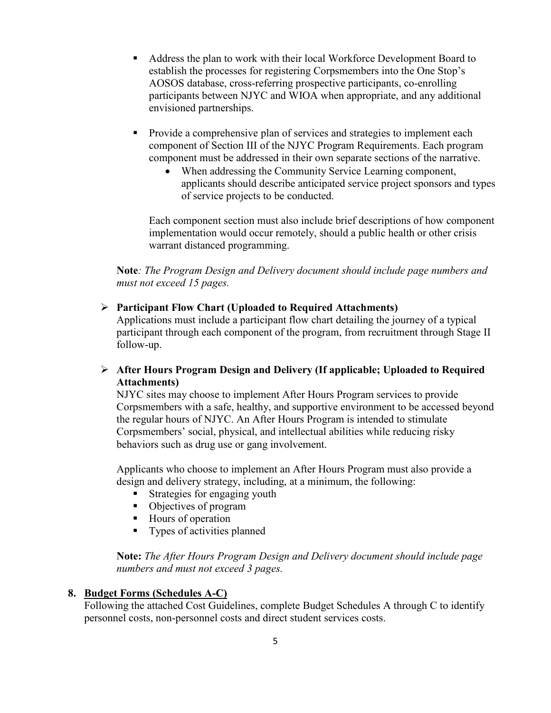- Address the plan to work with their local Workforce Development Board to establish the processes for registering Corpsmembers into the One Stop's AOSOS database, cross-referring prospective participants, co-enrolling participants between NJYC and WIOA when appropriate, and any additional envisioned partnerships.
- **Provide a comprehensive plan of services and strategies to implement each** component of Section III of the [NJYC Program Requirements.](http://www.nj.gov/labor/forms_pdfs/Programs/NGO/FY19/Final_FY20_NJYC_Program_Requirements.docx) Each program component must be addressed in their own separate sections of the narrative.
	- When addressing the Community Service Learning component, applicants should describe anticipated service project sponsors and types of service projects to be conducted.

Each component section must also include brief descriptions of how component implementation would occur remotely, should a public health or other crisis warrant distanced programming.

**Note***: The Program Design and Delivery document should include page numbers and must not exceed 15 pages.* 

- **Participant Flow Chart (Uploaded to Required Attachments)** Applications must include a participant flow chart detailing the journey of a typical participant through each component of the program, from recruitment through Stage II follow-up.
- **After Hours Program Design and Delivery (If applicable; Uploaded to Required Attachments)**

NJYC sites may choose to implement After Hours Program services to provide Corpsmembers with a safe, healthy, and supportive environment to be accessed beyond the regular hours of NJYC. An After Hours Program is intended to stimulate Corpsmembers' social, physical, and intellectual abilities while reducing risky behaviors such as drug use or gang involvement.

Applicants who choose to implement an After Hours Program must also provide a design and delivery strategy, including, at a minimum, the following:

- Strategies for engaging youth
- Objectives of program
- Hours of operation
- **Types of activities planned**

**Note:** *The After Hours Program Design and Delivery document should include page numbers and must not exceed 3 pages.*

#### **8. Budget Forms (Schedules A-C)**

Following the attached Cost Guidelines, complete Budget Schedules A through C to identify personnel costs, non-personnel costs and direct student services costs.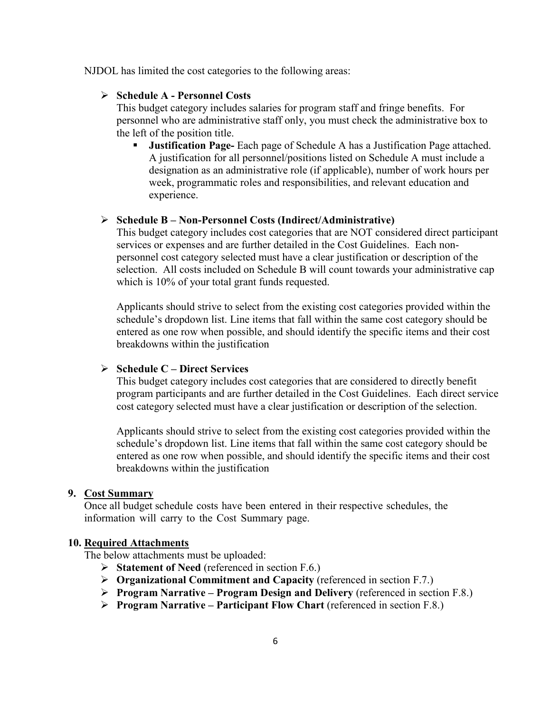NJDOL has limited the cost categories to the following areas:

#### **Schedule A - Personnel Costs**

This budget category includes salaries for program staff and fringe benefits. For personnel who are administrative staff only, you must check the administrative box to the left of the position title.

 **Justification Page-** Each page of Schedule A has a Justification Page attached. A justification for all personnel/positions listed on Schedule A must include a designation as an administrative role (if applicable), number of work hours per week, programmatic roles and responsibilities, and relevant education and experience.

#### **Schedule B – Non-Personnel Costs (Indirect/Administrative)**

This budget category includes cost categories that are NOT considered direct participant services or expenses and are further detailed in the Cost Guidelines. Each nonpersonnel cost category selected must have a clear justification or description of the selection. All costs included on Schedule B will count towards your administrative cap which is 10% of your total grant funds requested.

Applicants should strive to select from the existing cost categories provided within the schedule's dropdown list. Line items that fall within the same cost category should be entered as one row when possible, and should identify the specific items and their cost breakdowns within the justification

#### **Schedule C – Direct Services**

This budget category includes cost categories that are considered to directly benefit program participants and are further detailed in the Cost Guidelines. Each direct service cost category selected must have a clear justification or description of the selection.

Applicants should strive to select from the existing cost categories provided within the schedule's dropdown list. Line items that fall within the same cost category should be entered as one row when possible, and should identify the specific items and their cost breakdowns within the justification

#### **9. Cost Summary**

Once all budget schedule costs have been entered in their respective schedules, the information will carry to the Cost Summary page.

#### **10. Required Attachments**

The below attachments must be uploaded:

- Statement of Need (referenced in section F.6.)
- **Organizational Commitment and Capacity** (referenced in section F.7.)
- **Program Narrative Program Design and Delivery** (referenced in section F.8.)
- **Program Narrative Participant Flow Chart** (referenced in section F.8.)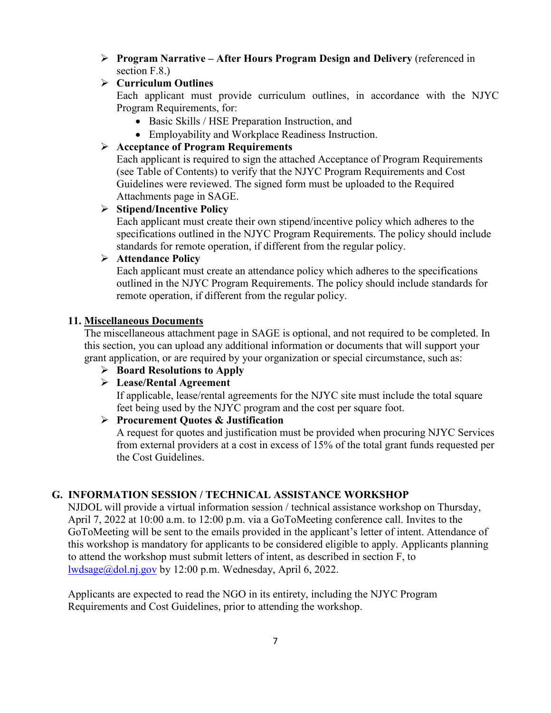**Program Narrative – After Hours Program Design and Delivery** (referenced in section F.8.)

## **Curriculum Outlines**

Each applicant must provide curriculum outlines, in accordance with the NJYC Program Requirements, for:

- Basic Skills / HSE Preparation Instruction, and
- Employability and Workplace Readiness Instruction.

#### **Acceptance of Program Requirements**

Each applicant is required to sign the attached Acceptance of Program Requirements (see Table of Contents) to verify that the NJYC Program Requirements and Cost Guidelines were reviewed. The signed form must be uploaded to the Required Attachments page in SAGE.

#### **Stipend/Incentive Policy**

Each applicant must create their own stipend/incentive policy which adheres to the specifications outlined in the NJYC Program Requirements. The policy should include standards for remote operation, if different from the regular policy.

#### **Attendance Policy**

Each applicant must create an attendance policy which adheres to the specifications outlined in the NJYC Program Requirements. The policy should include standards for remote operation, if different from the regular policy.

#### **11. Miscellaneous Documents**

The miscellaneous attachment page in SAGE is optional, and not required to be completed. In this section, you can upload any additional information or documents that will support your grant application, or are required by your organization or special circumstance, such as:

- **Board Resolutions to Apply**
- **Lease/Rental Agreement**

If applicable, lease/rental agreements for the NJYC site must include the total square feet being used by the NJYC program and the cost per square foot.

#### **Procurement Quotes & Justification**

A request for quotes and justification must be provided when procuring NJYC Services from external providers at a cost in excess of 15% of the total grant funds requested per the Cost Guidelines.

## **G. INFORMATION SESSION / TECHNICAL ASSISTANCE WORKSHOP**

NJDOL will provide a virtual information session / technical assistance workshop on Thursday, April 7, 2022 at 10:00 a.m. to 12:00 p.m. via a GoToMeeting conference call. Invites to the GoToMeeting will be sent to the emails provided in the applicant's letter of intent. Attendance of this workshop is mandatory for applicants to be considered eligible to apply. Applicants planning to attend the workshop must submit letters of intent, as described in section F, to [lwdsage@dol.nj.gov](mailto:lwdsage@dol.nj.gov) by 12:00 p.m. Wednesday, April 6, 2022.

Applicants are expected to read the NGO in its entirety, including the NJYC Program Requirements and Cost Guidelines, prior to attending the workshop.